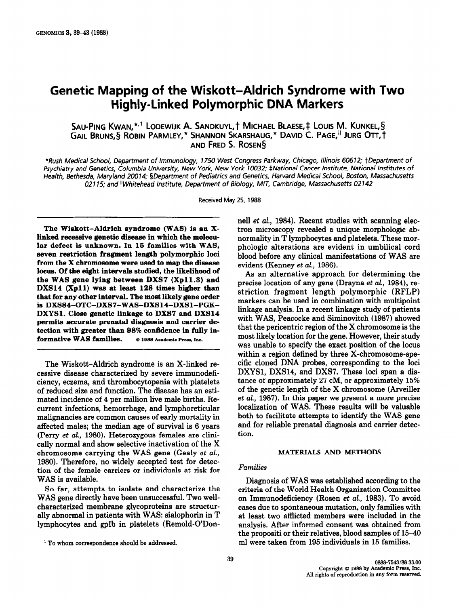# Genetic Mapping of the Wiskott-Aldrich Syndrome with Two Highly-Linked Polymorphic DNA Markers

SAU-PING KWAN, \*<sup>,1</sup> LODEWIJK A. SANDKUYL, † MICHAEL BLAESE, ‡ LOUIS M. KUNKEL, § GAIL BRUNS, § ROBIN PARMLEY,\* SHANNON SKARSHAUG,\* DAVID C. PAGE,<sup>II</sup> JURG OTT, † AND FRED S. ROSEN<sup>§</sup>

\*Rush Medical School, Department of Immunology, 1750 West Congress Parkway, Chicago, Illinois 60612; tDepartment of Psychiatry and Genetics, Columbia University, New York, New York 10032; #National Cancer Institute, National Institutes of Health, Bethesda, Maryland 20074; §Department of Pediatrics and Genetics, Harvard Medical School, Boston, Massachusetts 02115; and "Whitehead Institute, Department of Biology, MIT, Cambridge, Massachusetts 02142

Received May 25, 1988

The Wiskott-Aldrich syndrome (WAS) is an Xlinked recessive genetic disease in which the molecular defect is unknown. In 15 families with WAS, seven restriction fragment length polymorphic loci from the X chromosome were used to map the disease locus. Of the eight intervals studied, the likelihood of the WAS gene lying between DXS7 (Xp11.3) and DXSl4 (Xpll) was at least 128 times higher than that for any other interval. The most likely gene order is DXS84-OTC-DXS7-WAS-DXSl4-DXSl-PGK-DXYSl. Close genetic linkage to DXS7 and DXS14 permits accurate prenatal diagnosis and carrier detection with greater than 98% confidence in fully informative WAS families.  $Q$  1988 Academic Press, Inc.

The Wiskott-Aldrich syndrome is an X-linked recessive disease characterized by severe immunodeficiency, eczema, and thrombocytopenia with platelets of reduced size and function. The disease has an estimated incidence of 4 per million live male births. Recurrent infections, hemorrhage, and lymphoreticular malignancies are common causes of early mortality in affected males; the median age of survival is 6 years (Perry et al., 1980). Heterozygous females are clinically normal and show selective inactivation of the X chromosome carrying the WAS gene (Gealy et al., 1980). Therefore, no widely accepted test for detection of the female carriers or individuals at risk for WAS is available.

So far, attempts to isolate and characterize the WAS gene directly have been unsuccessful. Two wellcharacterized membrane glycoproteins are structurally abnormal in patients with WAS: sialophorin in T lymphocytes and gplb in platelets (Remold-G'Donnell et al., 1984). Recent studies with scanning electron microscopy revealed a unique morphologic abnormality in T lymphocytes and platelets. These morphologic alterations are evident in umbilical cord blood before any clinical manifestations of WAS are evident (Kenney et al., 1986).

As an alternative approach for determining the precise location of any gene (Drayna et al., 1984), restriction fragment length polymorphic (RFLP) markers can be used in combination with multipoint linkage analysis. In a recent linkage study of patients with WAS, Peacocke and Siminovitch (1987) showed that the pericentric region of the X chromosome is the most likely location for the gene. However, their study was unable to specify the exact position of the locus within a region defined by three X-chromosome-specific cloned DNA probes, corresponding to the loci DXYS1, DXS14, and DXS7. These loci span a distance of approximately 27 CM, or approximately 15% of the genetic length of the X chromosome (Arveiller et al., 1987). In this paper we present a more precise localization of WAS. These results will be valuable both to facilitate attempts to identify the WAS gene and for reliable prenatal diagnosis and carrier detection.

#### MATERIALS AND METHODS

#### Families

Diagnosis of WAS was established according to the criteria of the World Health Organization Committee on Immunodeficiency (Rosen et aL, 1983). To avoid cases due to spontaneous mutation, only families with at least two afflicted members were included in the analysis. After informed consent was obtained from the propositi or their relatives, blood samples of 15-40 ml were taken from 195 individuals in 15 families.

<sup>&</sup>lt;sup>1</sup> To whom correspondence should be addressed.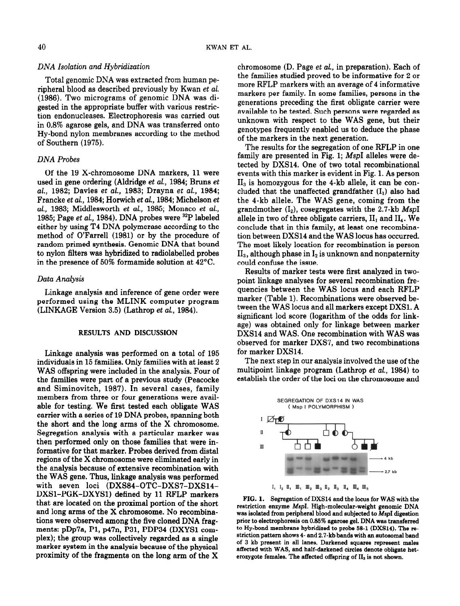## DNA Isolation and Hybridization

Total genomic DNA was extracted from human peripheral blood as described previously by Kwan et al. (1986). Two micrograms of genomic DNA was digested in the appropriate buffer with various restriction endonucleases. Electrophoresis was carried out in 0.8% agarose gels, and DNA was transferred onto Hy-bond nylon membranes according to the method of Southern (1975).

## DNA Probes

Of the 19 X-chromosome DNA markers, 11 were used in gene ordering (Aldridge et al., 1984; Bruns et al., 1982; Davies et al., 1983; Drayna et al., 1984; Francke et al., 1984; Horwich et al., 1984; Michelson et al., 1983; Middlesworth et al., 1985; Monaco et al., 1985; Page et al., 1984). DNA probes were  $^{32}P$  labeled either by using T4 DNA polymerase according to the method of O'Farrell (1981) or by the procedure of random primed synthesis. Genomic DNA that bound to nylon filters was hybridized to radiolabelled probes in the presence of 50% formamide solution at 42°C.

## Data Analysis

Linkage analysis and inference of gene order were performed using the MLINK computer program (LINKAGE Version 3.5) (Lathrop et al., 1984).

## RESULTS AND DISCUSSION

Linkage analysis was performed on a total of 195 individuals in 15 families. Only families with at least 2 WAS offspring were included in the analysis. Four of the families were part of a previous study (Peacocke and Siminovitch, 1987). In several cases, family members from three or four generations were available for testing. We first tested each obligate WAS carrier with a series of 19 DNA probes, spanning both the short and the long arms of the X chromosome. Segregation analysis with a particular marker was then performed only on those families that were informative for that marker. Probes derived from distal regions of the X chromosome were eliminated early in the analysis because of extensive recombination with the WAS gene. Thus, linkage analysis was performed with seven loci (DXS84-OTC-DXS7-DXS14- DXSl-PGK-DXYSl) defined by 11 RFLP markers that are located on the proximal portion of the short and long arms of the X chromosome. No recombinations were observed among the five cloned DNA fragments: pDp7a, Pl, p47n, P31, PDP34 (DXYSl complex); the group was collectively regarded as a single marker system in the analysis because of the physical proximity of the fragments on the long arm of the X

chromosome (D. Page et al., in preparation). Each of the families studied proved to be informative for 2 or more RFLP markers with an average of 4 informative markers per family. In some families, persons in the generations preceding the first obligate carrier were available to be tested. Such persons were regarded as unknown with respect to the WAS gene, but their genotypes frequently enabled us to deduce the phase of the markers in the next generation.

The results for the segregation of one RFLP in one family are presented in Fig. 1; MspI alleles were detected by DXS14. One of two total recombinational events with this marker is evident in Fig. 1. As person  $II<sub>3</sub>$  is homozygous for the 4-kb allele, it can be concluded that the unaffected grandfather  $(I_1)$  also had the 4-kb allele. The WAS gene, coming from the grandmother  $(I_2)$ , cosegregates with the 2.7-kb MspI allele in two of three obligate carriers,  $II_1$  and  $II_4$ . We conclude that in this family, at least one recombination between DXS14 and the WAS locus has occurred. The most likely location for recombination is person  $II<sub>3</sub>$ , although phase in  $I<sub>2</sub>$  is unknown and nonpaternity could confuse the issue.

Results of marker tests were first analyzed in twopoint linkage analyses for several recombination frequencies between the WAS locus and each RFLP marker (Table 1). Recombinations were observed between the WAS locus and all markers except DXSl. A significant lod score (logarithm of the odds for linkage) was obtained only for linkage between marker DXS14 and WAS. One recombination with WAS was observed for marker DXS7, and two recombinations for marker DXS14.

The next step in our analysis involved the use of the multipoint linkage program (Lathrop et al., 1984) to establish the order of the loci on the chromosome and





FIG. 1. Segregation of DXSl4 and the locus for WAS with the restriction enzyme MapI. High-molecular-weight genomic DNA was isolated from peripheral blood and subjected to MspI digestion prior to electrophoresis on 0.85% agarose gel. DNA was transferred to Hy-bond membrane hybridized to probe 58-l (DXSl4). The restriction pattern shows 4- and 2.7-kb bands with an autosomal band of 3 kb present in all lanes. Darkened squares represent males affected with WAS, and half-darkened circles denote obligate heterozygote females. The affected offspring of  $II_3$  is not shown.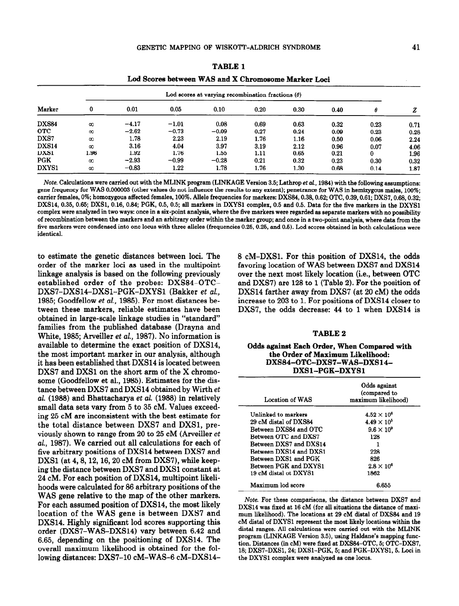|              |                                                          | Lod Scores between WAS and X Chromosome Marker Loci |         |         |      |      |      |      |      |
|--------------|----------------------------------------------------------|-----------------------------------------------------|---------|---------|------|------|------|------|------|
|              | Lod scores at varying recombination fractions $(\theta)$ |                                                     |         |         |      |      |      |      |      |
| Marker       | 0                                                        | 0.01                                                | 0.05    | 0.10    | 0.20 | 0.30 | 0.40 | θ    |      |
| <b>DXS84</b> | $\infty$                                                 | $-4.17$                                             | $-1.01$ | 0.08    | 0.69 | 0.63 | 0.32 | 0.23 | 0.71 |
| <b>OTC</b>   | $\infty$                                                 | $-2.62$                                             | $-0.73$ | $-0.09$ | 0.27 | 0.24 | 0.09 | 0.23 | 0.28 |
| DXS7         | $\infty$                                                 | 1.78                                                | 2.23    | 2.19    | 1.76 | 1.16 | 0.50 | 0.06 | 2.24 |
| <b>DXS14</b> | $\infty$                                                 | 3.16                                                | 4.04    | 3.97    | 3.19 | 2.12 | 0.96 | 0.07 | 4.06 |
| DXS1         | 1.96                                                     | 1.92                                                | 1.76    | 1.55    | 1.11 | 0.65 | 0.21 |      | 1.96 |
| <b>PGK</b>   | $\infty$                                                 | $-2.93$                                             | $-0.99$ | $-0.28$ | 0.21 | 0.32 | 0.23 | 0.30 | 0.32 |
| DXYS1        | $\infty$                                                 | $-0.83$                                             | 1.22    | 1.78    | 1.76 | 1.30 | 0.68 | 0.14 | 1.87 |

TABLE 1

Note. Calculations were carried out with the MLINK program (LINKAGE Version 3.5; Lathrop et al., 1984) with the following assumptions: gene frequency for WAS 0.000003 (other values do not influence the results to any extent); penetrance for WAS in hemixygous males, 100%; carrier females, 0%; homozygous affected females, 100%. Allele frequencies for markers: DXS84,0.38,0.62; OTC, 0.39,0.61; DXS7,0.68,0.32; DXS14, 0.35, 0.65; DXS1, 0.16, 0.84; PGK, 0.5, 0.5; all markers in DXYS1 complex, 0.5 and 0.5. Data for the five markers in the DXYS1 complex were analyzed in two ways: once in a six-point analysis, where the five markers were regarded as separate markers with no possibility of recombination between the markers and an arbitrary order within the marker group; and once in a two-point analysis, where data from the five markers were condensed into one locus with three alleles (frequencies 0.25, 0.25, and 0.5). Lod scores obtained in both calculations were identical.

to estimate the genetic distances between loci. The order of the marker loci as used in the multipoint linkage analysis is based on the following previously established order of the probes: DXS84-OTC-DXS7-DXS14-DXS1-PGK-DXYS1 (Bakker et al., 1985; Goodfellow et al, 1985). For most distances between these markers, reliable estimates have been obtained in large-scale linkage studies in "standard" families from the published database (Drayna and White, 1985; Arveiller et al, 1987). No information is available to determine the exact position of DXS14, the most important marker in our analysis, although it has been established that DXS14 is located between DXS7 and DXSl on the short arm of the X chromosome (Goodfellow et al., 1985). Estimates for the distance between DXS7 and DXS14 obtained by Wirth et al. (1988) and Bhattacharya et al. (1988) in relatively small data sets vary from 5 to 35 CM. Values exceeding 25 CM are inconsistent with the best estimate for the total distance between DXS7 and DXSl, previously shown to range from 20 to 25 CM (Arveiller et al., 1987). We carried out all calculations for each of five arbitrary positions of DXS14 between DXS7 and DXS1 (at 4, 8, 12, 16, 20 cM from DXS7), while keeping the distance between DXS7 and DXSl constant at 24 CM. For each position of DXS14, multipoint likelihoods were calculated for 86 arbitrary positions of the WAS gene relative to the map of the other markers. For each assumed position of DXS14, the most likely location of the WAS gene is between DXS7 and DXS14. Highly significant lod scores supporting this order (DXS7-WAS-DXS14) vary between 6.42 and 6.65, depending on the positioning of DXS14. The overall maximum likelihood is obtained for the following distances: DXS7-10 cM-WAS-6 cM-DXS14-

8 CM-DXSl. For this position of DXS14, the odds favoring location of WAS between DXS7 and DXS14 over the next most likely location (i.e., between OTC and DXS7) are 128 to 1 (Table 2). For the position of DXS14 farther away from DXS7 (at 20 cM) the odds increase to 203 to 1. For positions of DXS14 closer to DXS7, the odds decrease: 44 to 1 when DXS14 is

#### TABLE 2

#### Odds against Each Order, When Compared with the Order of Maximum Likelihood: DXS84-OTC-DXS7-WAS-DXSl4- DXSl-PGK-DXYSl

| Location of WAS             | Odds against<br>(compared to<br>maximum likelihood) |
|-----------------------------|-----------------------------------------------------|
| Unlinked to markers         | $4.52 \times 10^{6}$                                |
| 29 cM distal of DXS84       | $4.49 \times 10^{5}$                                |
| Between DXS84 and OTC       | $9.6 \times 10^9$                                   |
| Between OTC and DXS7        | 128                                                 |
| Between DXS7 and DXS14      |                                                     |
| Between DXS14 and DXS1      | 228                                                 |
| <b>Between DXS1 and PGK</b> | 826                                                 |
| Between PGK and DXYS1       | $2.8 \times 10^6$                                   |
| 19 cM distal ot DXYS1       | 1862                                                |
| Maximum lod score           | 6.655                                               |

Note. For these comparisons, the distance between DXS7 and DXS14 was fixed at 16 CM (for all situations the distance of maximum likelihood). The locations at 29 CM distal of DXS84 and 19 CM distal of DXYSl represent the most likely locations within the distal ranges. All calculations were carried out with the MLINK program (LINKAGE Version 3.5), using Haldane's mapping function. Distances (in cM) were fixed at DXS84-OTC, 5; OTC-DXS7, 18; DXS'I-DXSl, 24; DXSl-PGK, 5; and PGK-DXYSl, 5. Loci in the DXYSl complex were analyzed as one locus.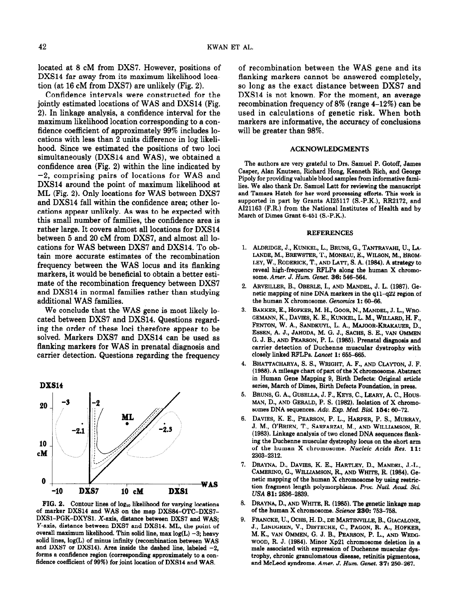located at 8 CM from DXS7. However, positions of DXS14 far away from its maximum likelihood location (at  $16$  cM from DXS7) are unlikely (Fig. 2).

Confidence intervals were constructed for the jointly estimated locations of WAS and DXS14 (Fig. 2). In linkage analysis, a confidence interval for the maximum likelihood location corresponding to a confidence coefficient of approximately 99% includes locations with less than 2 units difference in log likelihood. Since we estimated the positions of two loci simultaneously (DXS14 and WAS), we obtained a confidence area (Fig. 2) within the line indicated by -2, comprising pairs of locations for WAS and DXS14 around the point of maximum likelihood at ML (Fig. 2). Only locations for WAS between DXS7 and DXS14 fall within the confidence area; other locations appear unlikely. As was to be expected with this small number of families, the confidence area is rather large. It covers almost all locations for DXS14 between 5 and 20 CM from DXS7, and almost all locations for WAS between DXS7 and DXS14. To obtain more accurate estimates of the recombination frequency between the WAS locus and its flanking markers, it would be beneficial to obtain a better estimate of the recombination frequency between DXS7 and DXS14 in normal families rather than studying additional WAS families.

We conclude that the WAS gene is most likely located between DXS7 and DXS14. Questions regarding the order of these loci therefore appear to be solved. Markers DXS7 and DXS14 can be used as flanking markers for WAS in prenatal diagnosis and carrier detection. Questions regarding the frequency



 $\epsilon$  and  $\epsilon$  are manufactured manufacturer on the manufacturer manufacturer manufacturer manufacturer manufacturer manufacturer manufacturer manufacturer manufacturer manufacturer manufacturer manufacturer manufacturer m of marker DXS14 and WAS on the map DXS84-OTC-DXS7-DXS1-PGK-DXYS1. X-axis, distance between DXS7 and WAS; Y-axis, distance between DXS7 and DXS14. ML, the point of overall maximum likelihood. Thin solid line, max  $log(L) - 3$ ; heavy solid lines,  $log(L)$  of minus infinity (recombination between WAS and DXS7 or DXS14). Area inside the dashed line, labeled  $-2$ . forms a confidence region (corresponding approximately to a confidence coefficient of 99%) for joint location of DXS14 and WAS.

of recombination between the WAS gene and its flanking markers cannot be answered completely, so long as the exact distance between DXS7 and DXS14 is not known. For the moment, an average recombination frequency of 8% (range 4-12%) can be used in calculations of genetic risk. When both markers are informative, the accuracy of conclusions will be greater than 98%.

#### ACKNOWLEDGMENTS

The authors are very grateful to Drs. Samuel P. Gotoff, James Caeper, Alan Knutsen, Richard Hong, Kenneth Rich, and George Pipoly for providing valuable blood samples from informative families. We also thank Dr. Samuel Latt for reviewing the manuscript and Tamara Hatch for her word processing efforts. This work is supported in part by Grants AI25117 (S.-P.K.), RR2172, and AI21163 (F.R.) from the National Institutes of Health and by March of Dimes Grant 6-451 (S.-P.K.).

#### **REFERENCES**

- 1. ALDRIDGE J. KUNKEL, L. BRUNS, G. TANTRAVAHI, U. L.A. LANDE, M., BREWSTER, T., MONENJ, E., WILSON, M., BROM-LEY, W., RODERICK, T., AND LATT, S. A. (1984). A strategy to reveal high-frequency RFLPs along the human X chromosome. Amer. J. Hum. Genet. 36: 546-564.
- 2. ABVEILLER, B. OBERLE, JAND MANDEL, J. J. (1997), Co. netic mapping of nine DNA markers in the q11-q22 region of the human X chromosome. Genomics 1: 60-66.
- 3. BAKKER, HORKER M. H. COOR, N. MANDEL, J. J. WRO GEMANN, K., DAVIES, K. E., KUNKEL, L. M., WILLARD, H. F., FENTON, W. A., SANDKWL, L. A., MAJOOR-KRAKAUER, D., ESSEN, A. J., JAHODA, M. G. J., SACHS, S. E., VAN OMMEN G. J. B., AND PEARSON, P. L. (1986). Prenatal diagnosis and carrier detection of Duchenne muscular dystrophy with closely linked RFLPs. Lancet 1: 655-665.
- 4. BHATTACHARYA, S. S., WRIGHT, A. F., AND CLAYTON, J. F. (1988). A mileage chart of part of the X chromosome. Abstract in Human Gene Mapping 9, Birth Defecte: Original article series, March of Dimes, Birth Defects Foundation, in press.
- $\mathbf{5}$ . Bruns,  $\mathbf{6}$ . A.,  $\mathbf{6}$  Bruns,  $\mathbf{7}$ ,  $\mathbf{8}$  Bruns,  $\mathbf{8}$ ,  $\mathbf{7}$ ,  $\mathbf{8}$ ,  $\mathbf{8}$ ,  $\mathbf{9}$ ,  $\mathbf{10}$ ,  $\mathbf{11}$ MAN, D., AND GERALD, P. S. (1982). Isolation of X chromosomes DNA sequences. Adv. Exp. Med. Biol. 154: 60-72.
- $\beta$ . December, K. E., Pearson, P. J. Harper, P. G., Murray, P. L., Murray, P. S., Murray, P. S., Murray, P. S., Murray, P. S., Murray, P. S., Murray, P. S., Murray, P. S., Murray, P. S., Murray, P. S., Murray, P. S., Mur 7.  $\sum_{i=1}^{n}$   $\sum_{i=1}^{n}$ ,  $\sum_{i=1}^{n}$ ,  $\sum_{i=1}^{n}$ ,  $\sum_{i=1}^{n}$ ,  $\sum_{i=1}^{n}$ ,  $\sum_{i=1}^{n}$ ,  $\sum_{i=1}^{n}$ J. M., O'BRIEN, T., SARFARZAI, M., AND WILLIAMSON, R.<br>(1983). Linkage analysis of two cloned DNA sequences flanking the Duchenne muscular dystrophy in the sequences mannof the human muscular dystrophy focus on the short arm of the human X chromosome. Nucleic Acids Res. 11:<br>2303-2312. DRAYNA, D., DAVIES, K. E., HARTLEY, D., MANDEL, J.-L.,
- $\mathcal{L}$ DRAINA,  $D_i$ , DAVIES, N. E., HARTLEY, D., MANDEL, J.-L. CAMERINO, G., WILLIAMSON, R., AND WHITE, R. (1984). Genetic mapping of the human X chromosome by using restriction fragment length polymorphisms. Proc. Natl. Acad. Sci. USA 81: 2836-2839.
- $U$ RAYNA,  $U$ ., AN $U$  WHITE, R. (1989). The genetic lini FRANCKE, U., OCHS, H. D., DE MARTNILLE, B., GIACALONE,
- 9. PRANCKE, U., OCHS, H. D., DE MARTINVILLE, B., GIACALONE, J., LINDGREN, V., DISTECHE, C., PAGON, R. A., HOFKER. M. K., VAN OMMEN, G. J. B., PEARSON, P. L., AND WEDGwoon, R. J. (1984). Minor Xp21 chromosome deletion in a male associated with expression of Duchenne muscular dystrophy, chronic granulomatous disease, retinitis pigmentosa, and McLeod syndrome. Amer. J. Hum. Genet. 37: 250-267.